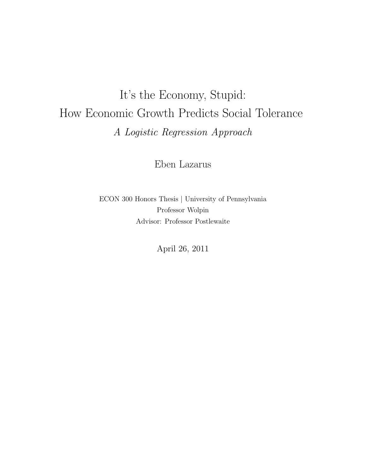## It's the Economy, Stupid: How Economic Growth Predicts Social Tolerance *A Logistic Regression Approach*

Eben Lazarus

ECON 300 Honors Thesis | University of Pennsylvania Professor Wolpin Advisor: Professor Postlewaite

April 26, 2011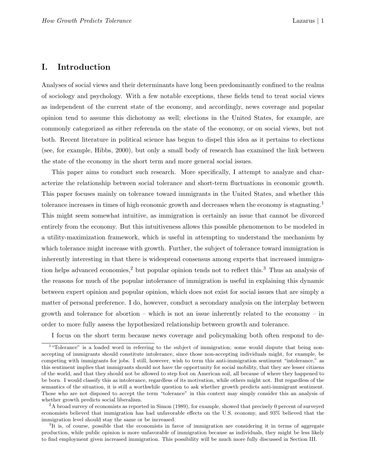## I. Introduction

Analyses of social views and their determinants have long been predominantly confined to the realms of sociology and psychology. With a few notable exceptions, these fields tend to treat social views as independent of the current state of the economy, and accordingly, news coverage and popular opinion tend to assume this dichotomy as well; elections in the United States, for example, are commonly categorized as either referenda on the state of the economy, or on social views, but not both. Recent literature in political science has begun to dispel this idea as it pertains to elections (see, for example, Hibbs, 2000), but only a small body of research has examined the link between the state of the economy in the short term and more general social issues.

This paper aims to conduct such research. More specifically, I attempt to analyze and characterize the relationship between social tolerance and short-term fluctuations in economic growth. This paper focuses mainly on tolerance toward immigrants in the United States, and whether this tolerance increases in times of high economic growth and decreases when the economy is stagnating.<sup>1</sup> This might seem somewhat intuitive, as immigration is certainly an issue that cannot be divorced entirely from the economy. But this intuitiveness allows this possible phenomenon to be modeled in a utility-maximization framework, which is useful in attempting to understand the mechanism by which tolerance might increase with growth. Further, the subject of tolerance toward immigration is inherently interesting in that there is widespread consensus among experts that increased immigration helps advanced economies,<sup>2</sup> but popular opinion tends not to reflect this.<sup>3</sup> Thus an analysis of the reasons for much of the popular intolerance of immigration is useful in explaining this dynamic between expert opinion and popular opinion, which does not exist for social issues that are simply a matter of personal preference. I do, however, conduct a secondary analysis on the interplay between growth and tolerance for abortion – which is not an issue inherently related to the economy – in order to more fully assess the hypothesized relationship between growth and tolerance.

I focus on the short term because news coverage and policymaking both often respond to de-

<sup>&</sup>lt;sup>1</sup>"Tolerance" is a loaded word in referring to the subject of immigration; some would dispute that being nonaccepting of immigrants should constitute intolerance, since those non-accepting individuals might, for example, be competing with immigrants for jobs. I still, however, wish to term this anti-immigration sentiment "intolerance," as this sentiment implies that immigrants should not have the opportunity for social mobility, that they are lesser citizens of the world, and that they should not be allowed to step foot on American soil, all because of where they happened to be born. I would classify this as intolerance, regardless of its motivation, while others might not. But regardless of the semantics of the situation, it is still a worthwhile question to ask whether growth predicts anti-immigrant sentiment. Those who are not disposed to accept the term "tolerance" in this context may simply consider this an analysis of whether growth predicts social liberalism.

<sup>&</sup>lt;sup>2</sup>A broad survey of economists as reported in Simon (1989), for example, showed that precisely 0 percent of surveyed economists believed that immigration has had unfavorable effects on the U.S. economy, and 93% believed that the immigration level should stay the same or be increased.

<sup>&</sup>lt;sup>3</sup>It is, of course, possible that the economists in favor of immigration are considering it in terms of aggregate production, while public opinion is more unfavorable of immigration because as individuals, they might be less likely to find employment given increased immigration. This possibility will be much more fully discussed in Section III.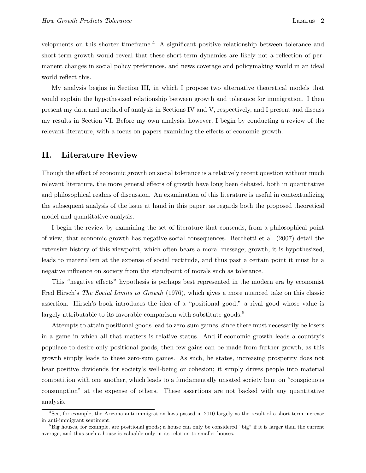velopments on this shorter timeframe.<sup>4</sup> A significant positive relationship between tolerance and short-term growth would reveal that these short-term dynamics are likely not a reflection of permanent changes in social policy preferences, and news coverage and policymaking would in an ideal world reflect this.

My analysis begins in Section III, in which I propose two alternative theoretical models that would explain the hypothesized relationship between growth and tolerance for immigration. I then present my data and method of analysis in Sections IV and V, respectively, and I present and discuss my results in Section VI. Before my own analysis, however, I begin by conducting a review of the relevant literature, with a focus on papers examining the effects of economic growth.

## II. Literature Review

Though the effect of economic growth on social tolerance is a relatively recent question without much relevant literature, the more general effects of growth have long been debated, both in quantitative and philosophical realms of discussion. An examination of this literature is useful in contextualizing the subsequent analysis of the issue at hand in this paper, as regards both the proposed theoretical model and quantitative analysis.

I begin the review by examining the set of literature that contends, from a philosophical point of view, that economic growth has negative social consequences. Becchetti et al. (2007) detail the extensive history of this viewpoint, which often bears a moral message; growth, it is hypothesized, leads to materialism at the expense of social rectitude, and thus past a certain point it must be a negative influence on society from the standpoint of morals such as tolerance.

This "negative effects" hypothesis is perhaps best represented in the modern era by economist Fred Hirsch's *The Social Limits to Growth* (1976), which gives a more nuanced take on this classic assertion. Hirsch's book introduces the idea of a "positional good," a rival good whose value is largely attributable to its favorable comparison with substitute goods.<sup>5</sup>

Attempts to attain positional goods lead to zero-sum games, since there must necessarily be losers in a game in which all that matters is relative status. And if economic growth leads a country's populace to desire only positional goods, then few gains can be made from further growth, as this growth simply leads to these zero-sum games. As such, he states, increasing prosperity does not bear positive dividends for society's well-being or cohesion; it simply drives people into material competition with one another, which leads to a fundamentally unsated society bent on "conspicuous consumption" at the expense of others. These assertions are not backed with any quantitative analysis.

<sup>4</sup>See, for example, the Arizona anti-immigration laws passed in 2010 largely as the result of a short-term increase in anti-immigrant sentiment.

<sup>&</sup>lt;sup>5</sup>Big houses, for example, are positional goods; a house can only be considered "big" if it is larger than the current average, and thus such a house is valuable only in its relation to smaller houses.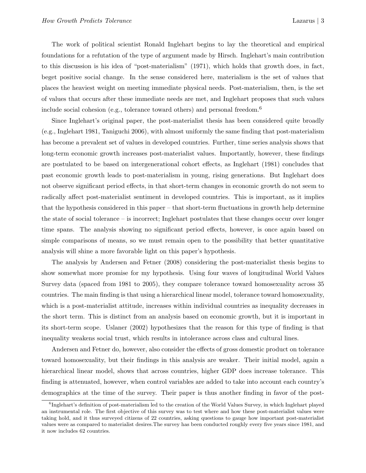The work of political scientist Ronald Inglehart begins to lay the theoretical and empirical foundations for a refutation of the type of argument made by Hirsch. Inglehart's main contribution to this discussion is his idea of "post-materialism" (1971), which holds that growth does, in fact, beget positive social change. In the sense considered here, materialism is the set of values that places the heaviest weight on meeting immediate physical needs. Post-materialism, then, is the set of values that occurs after these immediate needs are met, and Inglehart proposes that such values include social cohesion (e.g., tolerance toward others) and personal freedom.<sup>6</sup>

Since Inglehart's original paper, the post-materialist thesis has been considered quite broadly (e.g., Inglehart 1981, Taniguchi 2006), with almost uniformly the same finding that post-materialism has become a prevalent set of values in developed countries. Further, time series analysis shows that long-term economic growth increases post-materialist values. Importantly, however, these findings are postulated to be based on intergenerational cohort effects, as Inglehart (1981) concludes that past economic growth leads to post-materialism in young, rising generations. But Inglehart does not observe significant period effects, in that short-term changes in economic growth do not seem to radically affect post-materialist sentiment in developed countries. This is important, as it implies that the hypothesis considered in this paper – that short-term fluctuations in growth help determine the state of social tolerance – is incorrect; Inglehart postulates that these changes occur over longer time spans. The analysis showing no significant period effects, however, is once again based on simple comparisons of means, so we must remain open to the possibility that better quantitative analysis will shine a more favorable light on this paper's hypothesis.

The analysis by Andersen and Fetner (2008) considering the post-materialist thesis begins to show somewhat more promise for my hypothesis. Using four waves of longitudinal World Values Survey data (spaced from 1981 to 2005), they compare tolerance toward homosexuality across 35 countries. The main finding is that using a hierarchical linear model, tolerance toward homosexuality, which is a post-materialist attitude, increases within individual countries as inequality decreases in the short term. This is distinct from an analysis based on economic growth, but it is important in its short-term scope. Uslaner (2002) hypothesizes that the reason for this type of finding is that inequality weakens social trust, which results in intolerance across class and cultural lines.

Andersen and Fetner do, however, also consider the effects of gross domestic product on tolerance toward homosexuality, but their findings in this analysis are weaker. Their initial model, again a hierarchical linear model, shows that across countries, higher GDP does increase tolerance. This finding is attenuated, however, when control variables are added to take into account each country's demographics at the time of the survey. Their paper is thus another finding in favor of the post-

<sup>&</sup>lt;sup>6</sup>Inglehart's definition of post-materialism led to the creation of the World Values Survey, in which Inglehart played an instrumental role. The first objective of this survey was to test where and how these post-materialist values were taking hold, and it thus surveyed citizens of 22 countries, asking questions to gauge how important post-materialist values were as compared to materialist desires.The survey has been conducted roughly every five years since 1981, and it now includes 62 countries.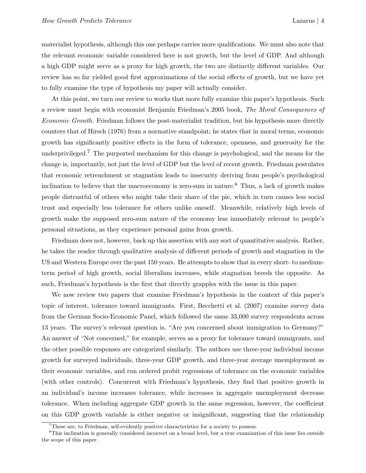materialist hypothesis, although this one perhaps carries more qualifications. We must also note that the relevant economic variable considered here is not growth, but the level of GDP. And although a high GDP might serve as a proxy for high growth, the two are distinctly different variables. Our review has so far yielded good first approximations of the social effects of growth, but we have yet to fully examine the type of hypothesis my paper will actually consider.

At this point, we turn our review to works that more fully examine this paper's hypothesis. Such a review must begin with economist Benjamin Friedman's 2005 book, *The Moral Consequences of Economic Growth*. Friedman follows the post-materialist tradition, but his hypothesis more directly counters that of Hirsch (1976) from a normative standpoint; he states that in moral terms, economic growth has significantly positive effects in the form of tolerance, openness, and generosity for the underprivileged.<sup>7</sup> The purported mechanism for this change is psychological, and the means for the change is, importantly, not just the level of GDP but the level of recent growth. Friedman postulates that economic retrenchment or stagnation leads to insecurity deriving from people's psychological inclination to believe that the macroeconomy is zero-sum in nature.<sup>8</sup> Thus, a lack of growth makes people distrustful of others who might take their share of the pie, which in turn causes less social trust and especially less tolerance for others unlike oneself. Meanwhile, relatively high levels of growth make the supposed zero-sum nature of the economy less immediately relevant to people's personal situations, as they experience personal gains from growth.

Friedman does not, however, back up this assertion with any sort of quantitative analysis. Rather, he takes the reader through qualitative analysis of different periods of growth and stagnation in the US and Western Europe over the past 150 years. He attempts to show that in every short- to mediumterm period of high growth, social liberalism increases, while stagnation breeds the opposite. As such, Friedman's hypothesis is the first that directly grapples with the issue in this paper.

We now review two papers that examine Friedman's hypothesis in the context of this paper's topic of interest, tolerance toward immigrants. First, Becchetti et al. (2007) examine survey data from the German Socio-Economic Panel, which followed the same 33,000 survey respondents across 13 years. The survey's relevant question is, "Are you concerned about immigration to Germany?" An answer of "Not concerned," for example, serves as a proxy for tolerance toward immigrants, and the other possible responses are categorized similarly. The authors use three-year individual income growth for surveyed individuals, three-year GDP growth, and three-year average unemployment as their economic variables, and run ordered probit regressions of tolerance on the economic variables (with other controls). Concurrent with Friedman's hypothesis, they find that positive growth in an individual's income increases tolerance, while increases in aggregate unemployment decrease tolerance. When including aggregate GDP growth in the same regression, however, the coefficient on this GDP growth variable is either negative or insignificant, suggesting that the relationship

<sup>&</sup>lt;sup>7</sup>These are, to Friedman, self-evidently positive characteristics for a society to possess.

<sup>&</sup>lt;sup>8</sup>This inclination is generally considered incorrect on a broad level, but a true examination of this issue lies outside the scope of this paper.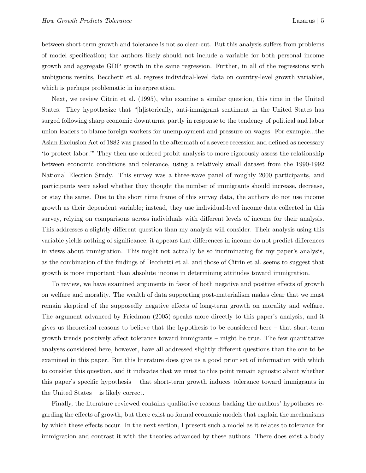between short-term growth and tolerance is not so clear-cut. But this analysis suffers from problems of model specification; the authors likely should not include a variable for both personal income growth and aggregate GDP growth in the same regression. Further, in all of the regressions with ambiguous results, Becchetti et al. regress individual-level data on country-level growth variables, which is perhaps problematic in interpretation.

Next, we review Citrin et al. (1995), who examine a similar question, this time in the United States. They hypothesize that "[h]istorically, anti-immigrant sentiment in the United States has surged following sharp economic downturns, partly in response to the tendency of political and labor union leaders to blame foreign workers for unemployment and pressure on wages. For example...the Asian Exclusion Act of 1882 was passed in the aftermath of a severe recession and defined as necessary 'to protect labor.'" They then use ordered probit analysis to more rigorously assess the relationship between economic conditions and tolerance, using a relatively small dataset from the 1990-1992 National Election Study. This survey was a three-wave panel of roughly 2000 participants, and participants were asked whether they thought the number of immigrants should increase, decrease, or stay the same. Due to the short time frame of this survey data, the authors do not use income growth as their dependent variable; instead, they use individual-level income data collected in this survey, relying on comparisons across individuals with different levels of income for their analysis. This addresses a slightly different question than my analysis will consider. Their analysis using this variable yields nothing of significance; it appears that differences in income do not predict differences in views about immigration. This might not actually be so incriminating for my paper's analysis, as the combination of the findings of Becchetti et al. and those of Citrin et al. seems to suggest that growth is more important than absolute income in determining attitudes toward immigration.

To review, we have examined arguments in favor of both negative and positive effects of growth on welfare and morality. The wealth of data supporting post-materialism makes clear that we must remain skeptical of the supposedly negative effects of long-term growth on morality and welfare. The argument advanced by Friedman (2005) speaks more directly to this paper's analysis, and it gives us theoretical reasons to believe that the hypothesis to be considered here – that short-term growth trends positively affect tolerance toward immigrants – might be true. The few quantitative analyses considered here, however, have all addressed slightly different questions than the one to be examined in this paper. But this literature does give us a good prior set of information with which to consider this question, and it indicates that we must to this point remain agnostic about whether this paper's specific hypothesis – that short-term growth induces tolerance toward immigrants in the United States – is likely correct.

Finally, the literature reviewed contains qualitative reasons backing the authors' hypotheses regarding the effects of growth, but there exist no formal economic models that explain the mechanisms by which these effects occur. In the next section, I present such a model as it relates to tolerance for immigration and contrast it with the theories advanced by these authors. There does exist a body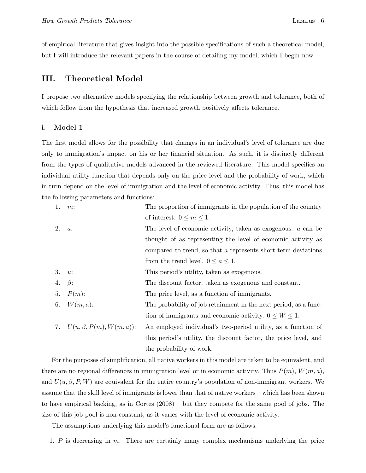of empirical literature that gives insight into the possible specifications of such a theoretical model, but I will introduce the relevant papers in the course of detailing my model, which I begin now.

## III. Theoretical Model

I propose two alternative models specifying the relationship between growth and tolerance, both of which follow from the hypothesis that increased growth positively affects tolerance.

#### i. Model 1

The first model allows for the possibility that changes in an individual's level of tolerance are due only to immigration's impact on his or her financial situation. As such, it is distinctly different from the types of qualitative models advanced in the reviewed literature. This model specifies an individual utility function that depends only on the price level and the probability of work, which in turn depend on the level of immigration and the level of economic activity. Thus, this model has the following parameters and functions:

| $m$ : | The proportion of immigrants in the population of the country                   |
|-------|---------------------------------------------------------------------------------|
|       | of interest. $0 \leq m \leq 1$ .                                                |
| $a$ : | The level of economic activity, taken as exogenous. $a$ can be                  |
|       | thought of as representing the level of economic activity as                    |
|       | compared to trend, so that a represents short-term deviations                   |
|       | from the trend level. $0 \le a \le 1$ .                                         |
| u:    | This period's utility, taken as exogenous.                                      |
|       | The discount factor, taken as exogenous and constant.                           |
|       | The price level, as a function of immigrants.                                   |
|       | The probability of job retainment in the next period, as a func-                |
|       | tion of immigrants and economic activity. $0 \leq W \leq 1$ .                   |
|       | An employed individual's two-period utility, as a function of                   |
|       | this period's utility, the discount factor, the price level, and                |
|       | the probability of work.                                                        |
|       | 4. $\beta$ :<br>$P(m)$ :<br>6. $W(m, a)$ :<br>7. $U(u, \beta, P(m), W(m, a))$ : |

For the purposes of simplification, all native workers in this model are taken to be equivalent, and there are no regional differences in immigration level or in economic activity. Thus  $P(m)$ ,  $W(m, a)$ , and  $U(u, \beta, P, W)$  are equivalent for the entire country's population of non-immigrant workers. We assume that the skill level of immigrants is lower than that of native workers – which has been shown to have empirical backing, as in Cortes (2008) – but they compete for the same pool of jobs. The size of this job pool is non-constant, as it varies with the level of economic activity.

The assumptions underlying this model's functional form are as follows:

1. P is decreasing in m. There are certainly many complex mechanisms underlying the price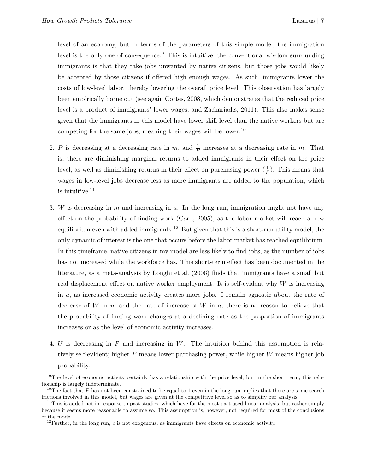level of an economy, but in terms of the parameters of this simple model, the immigration level is the only one of consequence.<sup>9</sup> This is intuitive; the conventional wisdom surrounding immigrants is that they take jobs unwanted by native citizens, but those jobs would likely be accepted by those citizens if offered high enough wages. As such, immigrants lower the costs of low-level labor, thereby lowering the overall price level. This observation has largely been empirically borne out (see again Cortes, 2008, which demonstrates that the reduced price level is a product of immigrants' lower wages, and Zachariadis, 2011). This also makes sense given that the immigrants in this model have lower skill level than the native workers but are competing for the same jobs, meaning their wages will be lower.<sup>10</sup>

- 2. P is decreasing at a decreasing rate in m, and  $\frac{1}{P}$  increases at a decreasing rate in m. That is, there are diminishing marginal returns to added immigrants in their effect on the price level, as well as diminishing returns in their effect on purchasing power  $(\frac{1}{P})$ . This means that wages in low-level jobs decrease less as more immigrants are added to the population, which is intuitive. $11$
- 3. W is decreasing in m and increasing in a. In the long run, immigration might not have any effect on the probability of finding work (Card, 2005), as the labor market will reach a new equilibrium even with added immigrants.<sup>12</sup> But given that this is a short-run utility model, the only dynamic of interest is the one that occurs before the labor market has reached equilibrium. In this timeframe, native citizens in my model are less likely to find jobs, as the number of jobs has not increased while the workforce has. This short-term effect has been documented in the literature, as a meta-analysis by Longhi et al. (2006) finds that immigrants have a small but real displacement effect on native worker employment. It is self-evident why  $W$  is increasing in a, as increased economic activity creates more jobs. I remain agnostic about the rate of decrease of W in  $m$  and the rate of increase of W in  $a$ ; there is no reason to believe that the probability of finding work changes at a declining rate as the proportion of immigrants increases or as the level of economic activity increases.
- 4. U is decreasing in P and increasing in W. The intuition behind this assumption is relatively self-evident; higher P means lower purchasing power, while higher W means higher job probability.

<sup>9</sup>The level of economic activity certainly has a relationship with the price level, but in the short term, this relationship is largely indeterminate.

<sup>&</sup>lt;sup>10</sup>The fact that  $P$  has not been constrained to be equal to 1 even in the long run implies that there are some search frictions involved in this model, but wages are given at the competitive level so as to simplify our analysis.

 $11$ This is added not in response to past studies, which have for the most part used linear analysis, but rather simply because it seems more reasonable to assume so. This assumption is, however, not required for most of the conclusions of the model.

<sup>&</sup>lt;sup>12</sup> Further, in the long run, *e* is not exogenous, as immigrants have effects on economic activity.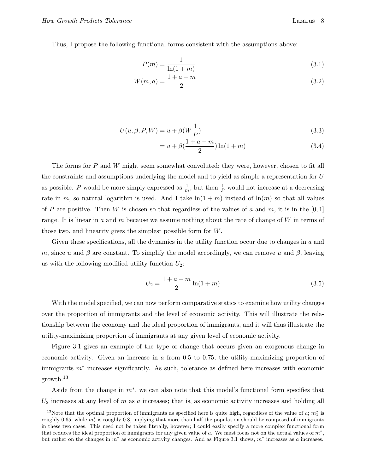Thus, I propose the following functional forms consistent with the assumptions above:

$$
P(m) = \frac{1}{\ln(1+m)}\tag{3.1}
$$

$$
W(m, a) = \frac{1 + a - m}{2} \tag{3.2}
$$

$$
U(u, \beta, P, W) = u + \beta(W \frac{1}{P})
$$
\n(3.3)

$$
= u + \beta \left(\frac{1 + a - m}{2}\right) \ln(1 + m) \tag{3.4}
$$

The forms for P and W might seem somewhat convoluted; they were, however, chosen to fit all the constraints and assumptions underlying the model and to yield as simple a representation for U as possible. P would be more simply expressed as  $\frac{1}{m}$ , but then  $\frac{1}{p}$  would not increase at a decreasing rate in m, so natural logarithm is used. And I take  $\ln(1+m)$  instead of  $\ln(m)$  so that all values of P are positive. Then W is chosen so that regardless of the values of a and m, it is in the [0, 1] range. It is linear in a and m because we assume nothing about the rate of change of  $W$  in terms of those two, and linearity gives the simplest possible form for W.

Given these specifications, all the dynamics in the utility function occur due to changes in a and m, since u and  $\beta$  are constant. To simplify the model accordingly, we can remove u and  $\beta$ , leaving us with the following modified utility function  $U_2$ :

$$
U_2 = \frac{1 + a - m}{2} \ln(1 + m) \tag{3.5}
$$

With the model specified, we can now perform comparative statics to examine how utility changes over the proportion of immigrants and the level of economic activity. This will illustrate the relationship between the economy and the ideal proportion of immigrants, and it will thus illustrate the utility-maximizing proportion of immigrants at any given level of economic activity.

Figure 3.1 gives an example of the type of change that occurs given an exogenous change in economic activity. Given an increase in  $a$  from 0.5 to 0.75, the utility-maximizing proportion of immigrants m<sup>∗</sup> increases significantly. As such, tolerance as defined here increases with economic growth.<sup>13</sup>

Aside from the change in  $m^*$ , we can also note that this model's functional form specifies that  $U_2$  increases at any level of  $m$  as  $a$  increases; that is, as economic activity increases and holding all

<sup>&</sup>lt;sup>13</sup>Note that the optimal proportion of immigrants as specified here is quite high, regardless of the value of  $a; m_1^*$  is roughly 0.65, while *m*<sup>∗</sup> <sup>2</sup> is roughly 0.8, implying that more than half the population should be composed of immigrants in these two cases. This need not be taken literally, however; I could easily specify a more complex functional form that reduces the ideal proportion of immigrants for any given value of *a*. We must focus not on the actual values of *m*∗, but rather on the changes in *m*<sup>∗</sup> as economic activity changes. And as Figure 3.1 shows, *m*<sup>∗</sup> increases as *a* increases.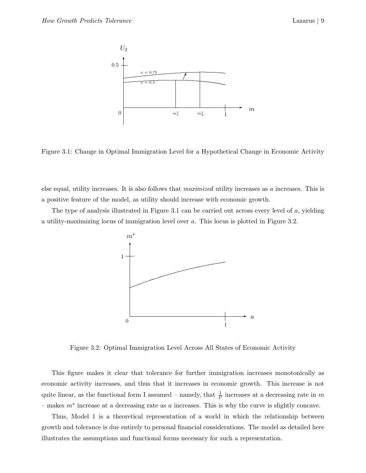

Figure 3.1: Change in Optimal Immigration Level for a Hypothetical Change in Economic Activity

else equal, utility increases. It is also follows that *maximized* utility increases as a increases. This is a positive feature of the model, as utility should increase with economic growth.

The type of analysis illustrated in Figure 3.1 can be carried out across every level of a, yielding a utility-maximizing locus of immigration level over a. This locus is plotted in Figure 3.2.



Figure 3.2: Optimal Immigration Level Across All States of Economic Activity

This figure makes it clear that tolerance for further immigration increases monotonically as economic activity increases, and thus that it increases in economic growth. This increase is not quite linear, as the functional form I assumed – namely, that  $\frac{1}{P}$  increases at a decreasing rate in m – makes  $m^*$  increase at a decreasing rate as a increases. This is why the curve is slightly concave.

Thus, Model 1 is a theoretical representation of a world in which the relationship between growth and tolerance is due entirely to personal financial considerations. The model as detailed here illustrates the assumptions and functional forms necessary for such a representation.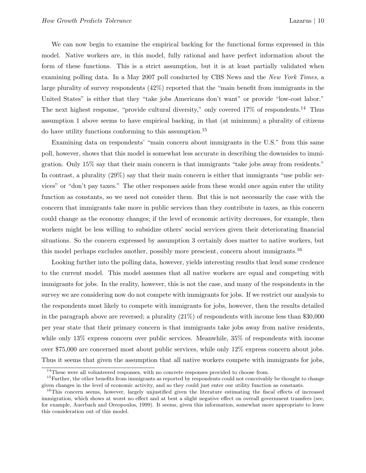We can now begin to examine the empirical backing for the functional forms expressed in this model. Native workers are, in this model, fully rational and have perfect information about the form of these functions. This is a strict assumption, but it is at least partially validated when examining polling data. In a May 2007 poll conducted by CBS News and the *New York Times*, a large plurality of survey respondents (42%) reported that the "main benefit from immigrants in the United States" is either that they "take jobs Americans don't want" or provide "low-cost labor." The next highest response, "provide cultural diversity," only covered  $17\%$  of respondents.<sup>14</sup> Thus assumption 1 above seems to have empirical backing, in that (at minimum) a plurality of citizens do have utility functions conforming to this assumption.<sup>15</sup>

Examining data on respondents' "main concern about immigrants in the U.S." from this same poll, however, shows that this model is somewhat less accurate in describing the downsides to immigration. Only 15% say that their main concern is that immigrants "take jobs away from residents." In contrast, a plurality  $(29\%)$  say that their main concern is either that immigrants "use public services" or "don't pay taxes." The other responses aside from these would once again enter the utility function as constants, so we need not consider them. But this is not necessarily the case with the concern that immigrants take more in public services than they contribute in taxes, as this concern could change as the economy changes; if the level of economic activity decreases, for example, then workers might be less willing to subsidize others' social services given their deteriorating financial situations. So the concern expressed by assumption 3 certainly does matter to native workers, but this model perhaps excludes another, possibly more prescient, concern about immigrants.<sup>16</sup>

Looking further into the polling data, however, yields interesting results that lend some credence to the current model. This model assumes that all native workers are equal and competing with immigrants for jobs. In the reality, however, this is not the case, and many of the respondents in the survey we are considering now do not compete with immigrants for jobs. If we restrict our analysis to the respondents most likely to compete with immigrants for jobs, however, then the results detailed in the paragraph above are reversed; a plurality (21%) of respondents with income less than \$30,000 per year state that their primary concern is that immigrants take jobs away from native residents, while only 13% express concern over public services. Meanwhile,  $35\%$  of respondents with income over \$75,000 are concerned most about public services, while only 12% express concern about jobs. Thus it seems that given the assumption that all native workers compete with immigrants for jobs,

 $14$ These were all volunteered responses, with no concrete responses provided to choose from.

<sup>&</sup>lt;sup>15</sup>Further, the other benefits from immigrants as reported by respondents could not conceivably be thought to change given changes in the level of economic activity, and so they could just enter our utility function as constants.

<sup>&</sup>lt;sup>16</sup>This concern seems, however, largely unjustified given the literature estimating the fiscal effects of increased immigration, which shows at worst no effect and at best a slight negative effect on overall government transfers (see, for example, Auerbach and Oreopoulos, 1999). It seems, given this information, somewhat more appropriate to leave this consideration out of this model.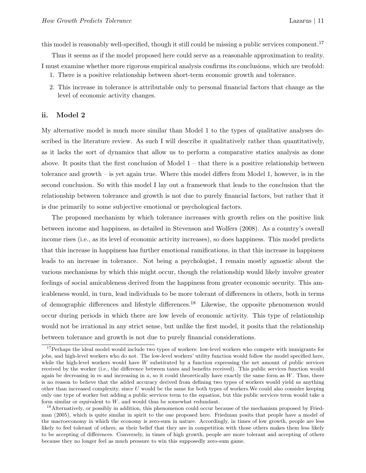this model is reasonably well-specified, though it still could be missing a public services component.<sup>17</sup>

Thus it seems as if the model proposed here could serve as a reasonable approximation to reality. I must examine whether more rigorous empirical analysis confirms its conclusions, which are twofold:

- 1. There is a positive relationship between short-term economic growth and tolerance.
- 2. This increase in tolerance is attributable only to personal financial factors that change as the level of economic activity changes.

#### ii. Model 2

My alternative model is much more similar than Model 1 to the types of qualitative analyses described in the literature review. As such I will describe it qualitatively rather than quantitatively, as it lacks the sort of dynamics that allow us to perform a comparative statics analysis as done above. It posits that the first conclusion of Model  $1 -$  that there is a positive relationship between tolerance and growth – is yet again true. Where this model differs from Model 1, however, is in the second conclusion. So with this model I lay out a framework that leads to the conclusion that the relationship between tolerance and growth is not due to purely financial factors, but rather that it is due primarily to some subjective emotional or psychological factors.

The proposed mechanism by which tolerance increases with growth relies on the positive link between income and happiness, as detailed in Stevenson and Wolfers (2008). As a country's overall income rises (i.e., as its level of economic activity increases), so does happiness. This model predicts that this increase in happiness has further emotional ramifications, in that this increase in happiness leads to an increase in tolerance. Not being a psychologist, I remain mostly agnostic about the various mechanisms by which this might occur, though the relationship would likely involve greater feelings of social amicableness derived from the happiness from greater economic security. This amicableness would, in turn, lead individuals to be more tolerant of differences in others, both in terms of demographic differences and lifestyle differences.<sup>18</sup> Likewise, the opposite phenomenon would occur during periods in which there are low levels of economic activity. This type of relationship would not be irrational in any strict sense, but unlike the first model, it posits that the relationship between tolerance and growth is not due to purely financial considerations.

<sup>&</sup>lt;sup>17</sup>Perhaps the ideal model would include two types of workers: low-level workers who compete with immigrants for jobs, and high-level workers who do not. The low-level workers' utility function would follow the model specified here, while the high-level workers would have *W* substituted by a function expressing the net amount of public services received by the worker (i.e., the difference between taxes and benefits received). This public services function would again be decreasing in *m* and increasing in *a*, so it could theoretically have exactly the same form as *W*. Thus, there is no reason to believe that the added accuracy derived from defining two types of workers would yield us anything other than increased complexity, since *U* would be the same for both types of workers.We could also consider keeping only one type of worker but adding a public services term to the equation, but this public services term would take a form similar or equivalent to *W*, and would thus be somewhat redundant.

<sup>&</sup>lt;sup>18</sup>Alternatively, or possibly in addition, this phenomenon could occur because of the mechanism proposed by Friedman (2005), which is quite similar in spirit to the one proposed here. Friedman posits that people have a model of the macroeconomy in which the economy is zero-sum in nature. Accordingly, in times of low growth, people are less likely to feel tolerant of others, as their belief that they are in competition with those others makes them less likely to be accepting of differences. Conversely, in times of high growth, people are more tolerant and accepting of others because they no longer feel as much pressure to win this supposedly zero-sum game.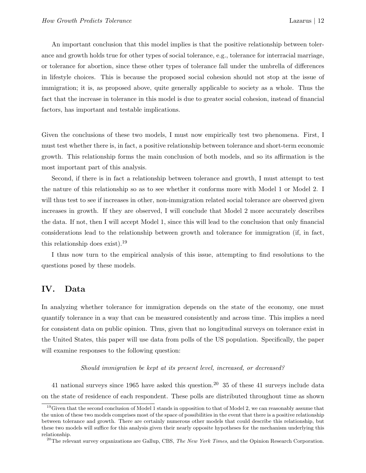An important conclusion that this model implies is that the positive relationship between tolerance and growth holds true for other types of social tolerance, e.g., tolerance for interracial marriage, or tolerance for abortion, since these other types of tolerance fall under the umbrella of differences in lifestyle choices. This is because the proposed social cohesion should not stop at the issue of immigration; it is, as proposed above, quite generally applicable to society as a whole. Thus the fact that the increase in tolerance in this model is due to greater social cohesion, instead of financial factors, has important and testable implications.

Given the conclusions of these two models, I must now empirically test two phenomena. First, I must test whether there is, in fact, a positive relationship between tolerance and short-term economic growth. This relationship forms the main conclusion of both models, and so its affirmation is the most important part of this analysis.

Second, if there is in fact a relationship between tolerance and growth, I must attempt to test the nature of this relationship so as to see whether it conforms more with Model 1 or Model 2. I will thus test to see if increases in other, non-immigration related social tolerance are observed given increases in growth. If they are observed, I will conclude that Model 2 more accurately describes the data. If not, then I will accept Model 1, since this will lead to the conclusion that only financial considerations lead to the relationship between growth and tolerance for immigration (if, in fact, this relationship does exist).<sup>19</sup>

I thus now turn to the empirical analysis of this issue, attempting to find resolutions to the questions posed by these models.

## IV. Data

In analyzing whether tolerance for immigration depends on the state of the economy, one must quantify tolerance in a way that can be measured consistently and across time. This implies a need for consistent data on public opinion. Thus, given that no longitudinal surveys on tolerance exist in the United States, this paper will use data from polls of the US population. Specifically, the paper will examine responses to the following question:

*Should immigration be kept at its present level, increased, or decreased?*

41 national surveys since 1965 have asked this question.<sup>20</sup> 35 of these 41 surveys include data on the state of residence of each respondent. These polls are distributed throughout time as shown

 $19$ Given that the second conclusion of Model 1 stands in opposition to that of Model 2, we can reasonably assume that the union of these two models comprises most of the space of possibilities in the event that there is a positive relationship between tolerance and growth. There are certainly numerous other models that could describe this relationship, but these two models will suffice for this analysis given their nearly opposite hypotheses for the mechanism underlying this relationship.

 $^{20}$ The relevant survey organizations are Gallup, CBS, The New York Times, and the Opinion Research Corporation.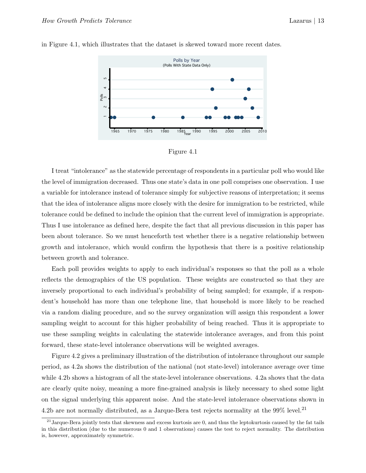

in Figure 4.1, which illustrates that the dataset is skewed toward more recent dates.

#### Figure 4.1

I treat "intolerance" as the statewide percentage of respondents in a particular poll who would like the level of immigration decreased. Thus one state's data in one poll comprises one observation. I use a variable for intolerance instead of tolerance simply for subjective reasons of interpretation; it seems that the idea of intolerance aligns more closely with the desire for immigration to be restricted, while tolerance could be defined to include the opinion that the current level of immigration is appropriate. Thus I use intolerance as defined here, despite the fact that all previous discussion in this paper has been about tolerance. So we must henceforth test whether there is a negative relationship between growth and intolerance, which would confirm the hypothesis that there is a positive relationship between growth and tolerance.

Each poll provides weights to apply to each individual's responses so that the poll as a whole reflects the demographics of the US population. These weights are constructed so that they are inversely proportional to each individual's probability of being sampled; for example, if a respondent's household has more than one telephone line, that household is more likely to be reached via a random dialing procedure, and so the survey organization will assign this respondent a lower sampling weight to account for this higher probability of being reached. Thus it is appropriate to use these sampling weights in calculating the statewide intolerance averages, and from this point forward, these state-level intolerance observations will be weighted averages.

Figure 4.2 gives a preliminary illustration of the distribution of intolerance throughout our sample period, as 4.2a shows the distribution of the national (not state-level) intolerance average over time while 4.2b shows a histogram of all the state-level intolerance observations. 4.2a shows that the data are clearly quite noisy, meaning a more fine-grained analysis is likely necessary to shed some light on the signal underlying this apparent noise. And the state-level intolerance observations shown in 4.2b are not normally distributed, as a Jarque-Bera test rejects normality at the  $99\%$  level.<sup>21</sup>

 $^{21}$ Jarque-Bera jointly tests that skewness and excess kurtosis are 0, and thus the leptokurtosis caused by the fat tails in this distribution (due to the numerous 0 and 1 observations) causes the test to reject normality. The distribution is, however, approximately symmetric.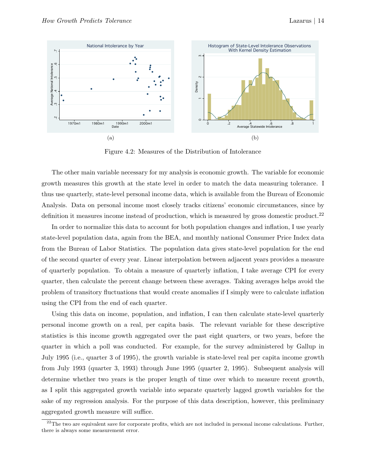

Figure 4.2: Measures of the Distribution of Intolerance

The other main variable necessary for my analysis is economic growth. The variable for economic growth measures this growth at the state level in order to match the data measuring tolerance. I thus use quarterly, state-level personal income data, which is available from the Bureau of Economic Analysis. Data on personal income most closely tracks citizens' economic circumstances, since by definition it measures income instead of production, which is measured by gross domestic product.<sup>22</sup>

In order to normalize this data to account for both population changes and inflation, I use yearly state-level population data, again from the BEA, and monthly national Consumer Price Index data from the Bureau of Labor Statistics. The population data gives state-level population for the end of the second quarter of every year. Linear interpolation between adjacent years provides a measure of quarterly population. To obtain a measure of quarterly inflation, I take average CPI for every quarter, then calculate the percent change between these averages. Taking averages helps avoid the problem of transitory fluctuations that would create anomalies if I simply were to calculate inflation using the CPI from the end of each quarter.

Using this data on income, population, and inflation, I can then calculate state-level quarterly personal income growth on a real, per capita basis. The relevant variable for these descriptive statistics is this income growth aggregated over the past eight quarters, or two years, before the quarter in which a poll was conducted. For example, for the survey administered by Gallup in July 1995 (i.e., quarter 3 of 1995), the growth variable is state-level real per capita income growth from July 1993 (quarter 3, 1993) through June 1995 (quarter 2, 1995). Subsequent analysis will determine whether two years is the proper length of time over which to measure recent growth, as I split this aggregated growth variable into separate quarterly lagged growth variables for the sake of my regression analysis. For the purpose of this data description, however, this preliminary aggregated growth measure will suffice.

 $22$ The two are equivalent save for corporate profits, which are not included in personal income calculations. Further, there is always some measurement error.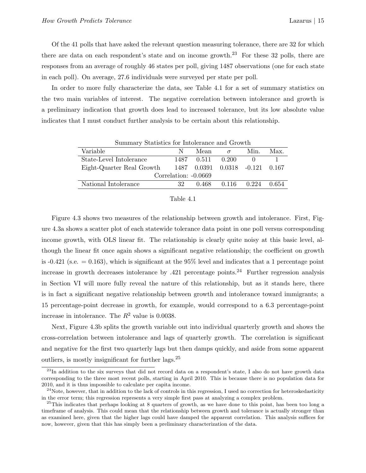Of the 41 polls that have asked the relevant question measuring tolerance, there are 32 for which there are data on each respondent's state and on income growth.<sup>23</sup> For these 32 polls, there are responses from an average of roughly 46 states per poll, giving 1487 observations (one for each state in each poll). On average, 27.6 individuals were surveyed per state per poll.

In order to more fully characterize the data, see Table 4.1 for a set of summary statistics on the two main variables of interest. The negative correlation between intolerance and growth is a preliminary indication that growth does lead to increased tolerance, but its low absolute value indicates that I must conduct further analysis to be certain about this relationship.

| Summary Statistics for Intolerance and Growth |                      |                  |                                 |      |       |  |  |  |
|-----------------------------------------------|----------------------|------------------|---------------------------------|------|-------|--|--|--|
| Variable                                      | N                    | Mean             | $\sigma$                        | Min. | Max.  |  |  |  |
| State-Level Intolerance                       |                      | 1487 0.511 0.200 |                                 |      |       |  |  |  |
| Eight-Quarter Real Growth                     |                      |                  | 1487 0.0391 0.0318 -0.121 0.167 |      |       |  |  |  |
|                                               | Correlation: -0.0669 |                  |                                 |      |       |  |  |  |
| National Intolerance                          | 32                   |                  | $0.468$ $0.116$ $0.224$         |      | 0.654 |  |  |  |

#### Table 4.1

Figure 4.3 shows two measures of the relationship between growth and intolerance. First, Figure 4.3a shows a scatter plot of each statewide tolerance data point in one poll versus corresponding income growth, with OLS linear fit. The relationship is clearly quite noisy at this basic level, although the linear fit once again shows a significant negative relationship; the coefficient on growth is  $-0.421$  (s.e.  $= 0.163$ ), which is significant at the 95% level and indicates that a 1 percentage point increase in growth decreases intolerance by  $.421$  percentage points.<sup>24</sup> Further regression analysis in Section VI will more fully reveal the nature of this relationship, but as it stands here, there is in fact a significant negative relationship between growth and intolerance toward immigrants; a 15 percentage-point decrease in growth, for example, would correspond to a 6.3 percentage-point increase in intolerance. The  $R^2$  value is 0.0038.

Next, Figure 4.3b splits the growth variable out into individual quarterly growth and shows the cross-correlation between intolerance and lags of quarterly growth. The correlation is significant and negative for the first two quarterly lags but then damps quickly, and aside from some apparent outliers, is mostly insignificant for further lags.<sup>25</sup>

<sup>&</sup>lt;sup>23</sup>In addition to the six surveys that did not record data on a respondent's state, I also do not have growth data corresponding to the three most recent polls, starting in April 2010. This is because there is no population data for 2010, and it is thus impossible to calculate per capita income.

 $24$ Note, however, that in addition to the lack of controls in this regression, I used no correction for heteroskedasticity in the error term; this regression represents a very simple first pass at analyzing a complex problem.

 $^{25}$ This indicates that perhaps looking at 8 quarters of growth, as we have done to this point, has been too long a timeframe of analysis. This could mean that the relationship between growth and tolerance is actually stronger than as examined here, given that the higher lags could have damped the apparent correlation. This analysis suffices for now, however, given that this has simply been a preliminary characterization of the data.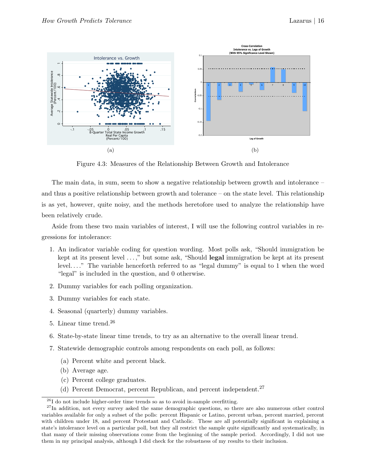

Figure 4.3: Measures of the Relationship Between Growth and Intolerance

The main data, in sum, seem to show a negative relationship between growth and intolerance – and thus a positive relationship between growth and tolerance – on the state level. This relationship is as yet, however, quite noisy, and the methods heretofore used to analyze the relationship have been relatively crude.

Aside from these two main variables of interest, I will use the following control variables in regressions for intolerance:

- 1. An indicator variable coding for question wording. Most polls ask, "Should immigration be kept at its present level . . . ," but some ask, "Should legal immigration be kept at its present level. . . ." The variable henceforth referred to as "legal dummy" is equal to 1 when the word "legal" is included in the question, and 0 otherwise.
- 2. Dummy variables for each polling organization.
- 3. Dummy variables for each state.
- 4. Seasonal (quarterly) dummy variables.
- 5. Linear time trend.<sup>26</sup>
- 6. State-by-state linear time trends, to try as an alternative to the overall linear trend.
- 7. Statewide demographic controls among respondents on each poll, as follows:
	- (a) Percent white and percent black.
	- (b) Average age.
	- (c) Percent college graduates.
	- (d) Percent Democrat, percent Republican, and percent independent.<sup>27</sup>

 $^{26}$ I do not include higher-order time trends so as to avoid in-sample overfitting.

 $27$ In addition, not every survey asked the same demographic questions, so there are also numerous other control variables available for only a subset of the polls: percent Hispanic or Latino, percent urban, percent married, percent with children under 18, and percent Protestant and Catholic. These are all potentially significant in explaining a state's intolerance level on a particular poll, but they all restrict the sample quite significantly and systematically, in that many of their missing observations come from the beginning of the sample period. Accordingly, I did not use them in my principal analysis, although I did check for the robustness of my results to their inclusion.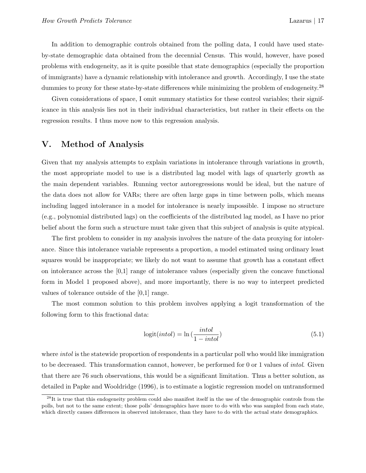In addition to demographic controls obtained from the polling data, I could have used stateby-state demographic data obtained from the decennial Census. This would, however, have posed problems with endogeneity, as it is quite possible that state demographics (especially the proportion of immigrants) have a dynamic relationship with intolerance and growth. Accordingly, I use the state dummies to proxy for these state-by-state differences while minimizing the problem of endogeneity.<sup>28</sup>

Given considerations of space, I omit summary statistics for these control variables; their significance in this analysis lies not in their individual characteristics, but rather in their effects on the regression results. I thus move now to this regression analysis.

## V. Method of Analysis

Given that my analysis attempts to explain variations in intolerance through variations in growth, the most appropriate model to use is a distributed lag model with lags of quarterly growth as the main dependent variables. Running vector autoregressions would be ideal, but the nature of the data does not allow for VARs; there are often large gaps in time between polls, which means including lagged intolerance in a model for intolerance is nearly impossible. I impose no structure (e.g., polynomial distributed lags) on the coefficients of the distributed lag model, as I have no prior belief about the form such a structure must take given that this subject of analysis is quite atypical.

The first problem to consider in my analysis involves the nature of the data proxying for intolerance. Since this intolerance variable represents a proportion, a model estimated using ordinary least squares would be inappropriate; we likely do not want to assume that growth has a constant effect on intolerance across the [0,1] range of intolerance values (especially given the concave functional form in Model 1 proposed above), and more importantly, there is no way to interpret predicted values of tolerance outside of the [0,1] range.

The most common solution to this problem involves applying a logit transformation of the following form to this fractional data:

$$
logit(intol) = \ln\left(\frac{intol}{1-intol}\right)
$$
\n(5.1)

where *intol* is the statewide proportion of respondents in a particular poll who would like immigration to be decreased. This transformation cannot, however, be performed for 0 or 1 values of *intol*. Given that there are 76 such observations, this would be a significant limitation. Thus a better solution, as detailed in Papke and Wooldridge (1996), is to estimate a logistic regression model on untransformed

<sup>&</sup>lt;sup>28</sup>It is true that this endogeneity problem could also manifest itself in the use of the demographic controls from the polls, but not to the same extent; those polls' demographics have more to do with who was sampled from each state, which directly causes differences in observed intolerance, than they have to do with the actual state demographics.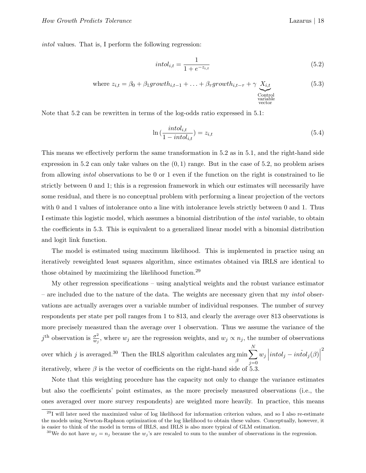*intol* values. That is, I perform the following regression:

$$
intol_{i,t} = \frac{1}{1 + e^{-z_{i,t}}}
$$
\n(5.2)

where 
$$
z_{i,t} = \beta_0 + \beta_1 \text{growth}_{i,t-1} + \ldots + \beta_{\tau} \text{growth}_{i,t-\tau} + \gamma \underbrace{X_{i,t}}_{\substack{\text{Control} \text{variable} \text{vectors}}} \tag{5.3}
$$

Note that 5.2 can be rewritten in terms of the log-odds ratio expressed in 5.1:

$$
\ln\left(\frac{intol_{i,t}}{1-intol_{i,t}}\right) = z_{i,t} \tag{5.4}
$$

This means we effectively perform the same transformation in 5.2 as in 5.1, and the right-hand side expression in 5.2 can only take values on the  $(0, 1)$  range. But in the case of 5.2, no problem arises from allowing *intol* observations to be 0 or 1 even if the function on the right is constrained to lie strictly between 0 and 1; this is a regression framework in which our estimates will necessarily have some residual, and there is no conceptual problem with performing a linear projection of the vectors with 0 and 1 values of intolerance onto a line with intolerance levels strictly between 0 and 1. Thus I estimate this logistic model, which assumes a binomial distribution of the *intol* variable, to obtain the coefficients in 5.3. This is equivalent to a generalized linear model with a binomial distribution and logit link function.

The model is estimated using maximum likelihood. This is implemented in practice using an iteratively reweighted least squares algorithm, since estimates obtained via IRLS are identical to those obtained by maximizing the likelihood function.<sup>29</sup>

My other regression specifications – using analytical weights and the robust variance estimator – are included due to the nature of the data. The weights are necessary given that my *intol* observations are actually averages over a variable number of individual responses. The number of survey respondents per state per poll ranges from 1 to 813, and clearly the average over 813 observations is more precisely measured than the average over 1 observation. Thus we assume the variance of the  $j^{\text{th}}$  observation is  $\frac{\sigma^2}{w_j}$ , where  $w_j$  are the regression weights, and  $w_j \propto n_j$ , the number of observations over which j is averaged.<sup>30</sup> Then the IRLS algorithm calculates arg min β  $\stackrel{N}{\blacklozenge}$  $j=0$  $w_j \left| intol_j - infol_j(\beta) \right|$ 2 iteratively, where  $\beta$  is the vector of coefficients on the right-hand side of 5.3.

Note that this weighting procedure has the capacity not only to change the variance estimates but also the coefficients' point estimates, as the more precisely measured observations (i.e., the ones averaged over more survey respondents) are weighted more heavily. In practice, this means

 $^{29}$ I will later need the maximized value of log likelihood for information criterion values, and so I also re-estimate the models using Newton-Raphson optimization of the log likelihood to obtain these values. Conceptually, however, it is easier to think of the model in terms of IRLS, and IRLS is also more typical of GLM estimation.

<sup>&</sup>lt;sup>30</sup>We do not have  $w_j = n_j$  because the  $w_j$ 's are rescaled to sum to the number of observations in the regression.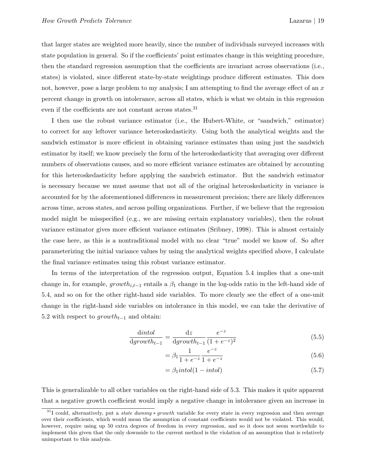that larger states are weighted more heavily, since the number of individuals surveyed increases with state population in general. So if the coefficients' point estimates change in this weighting procedure, then the standard regression assumption that the coefficients are invariant across observations (i.e., states) is violated, since different state-by-state weightings produce different estimates. This does not, however, pose a large problem to my analysis; I am attempting to find the average effect of an  $x$ percent change in growth on intolerance, across all states, which is what we obtain in this regression even if the coefficients are not constant across states.<sup>31</sup>

I then use the robust variance estimator (i.e., the Hubert-White, or "sandwich," estimator) to correct for any leftover variance heteroskedasticity. Using both the analytical weights and the sandwich estimator is more efficient in obtaining variance estimates than using just the sandwich estimator by itself; we know precisely the form of the heteroskedasticity that averaging over different numbers of observations causes, and so more efficient variance estimates are obtained by accounting for this heteroskedasticity before applying the sandwich estimator. But the sandwich estimator is necessary because we must assume that not all of the original heteroskedasticity in variance is accounted for by the aforementioned differences in measurement precision; there are likely differences across time, across states, and across polling organizations. Further, if we believe that the regression model might be misspecified (e.g., we are missing certain explanatory variables), then the robust variance estimator gives more efficient variance estimates (Sribney, 1998). This is almost certainly the case here, as this is a nontraditional model with no clear "true" model we know of. So after parameterizing the initial variance values by using the analytical weights specified above, I calculate the final variance estimates using this robust variance estimator.

In terms of the interpretation of the regression output, Equation 5.4 implies that a one-unit change in, for example,  $growth_{i,t-1}$  entails a  $\beta_1$  change in the log-odds ratio in the left-hand side of 5.4, and so on for the other right-hand side variables. To more clearly see the effect of a one-unit change in the right-hand side variables on intolerance in this model, we can take the derivative of 5.2 with respect to  $growth_{t-1}$  and obtain:

$$
\frac{\text{dintol}}{\text{d}growth_{t-1}} = \frac{\text{d}z}{\text{d}growth_{t-1}} \frac{e^{-z}}{(1 + e^{-z})^2} \tag{5.5}
$$

$$
= \beta_1 \frac{1}{1 + e^{-z}} \frac{e^{-z}}{1 + e^{-z}}
$$
\n(5.6)

$$
=\beta_1\text{intol}(1-intol)
$$
\n(5.7)

This is generalizable to all other variables on the right-hand side of 5.3. This makes it quite apparent that a negative growth coefficient would imply a negative change in intolerance given an increase in

<sup>31</sup>I could, alternatively, put a state dummy <sup>∗</sup> *growth* variable for every state in every regression and then average over their coefficients, which would mean the assumption of constant coefficients would not be violated. This would, however, require using up 50 extra degrees of freedom in every regression, and so it does not seem worthwhile to implement this given that the only downside to the current method is the violation of an assumption that is relatively unimportant to this analysis.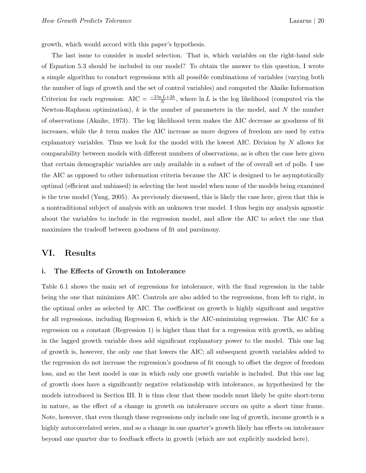growth, which would accord with this paper's hypothesis.

The last issue to consider is model selection. That is, which variables on the right-hand side of Equation 5.3 should be included in our model? To obtain the answer to this question, I wrote a simple algorithm to conduct regressions with all possible combinations of variables (varying both the number of lags of growth and the set of control variables) and computed the Akaike Information Criterion for each regression:  $AIC = \frac{-2 \ln L + 2k}{N}$ , where  $\ln L$  is the log likelihood (computed via the Newton-Raphson optimization),  $k$  is the number of parameters in the model, and  $N$  the number of observations (Akaike, 1973). The log likelihood term makes the AIC decrease as goodness of fit increases, while the k term makes the AIC increase as more degrees of freedom are used by extra explanatory variables. Thus we look for the model with the lowest AIC. Division by  $N$  allows for comparability between models with different numbers of observations, as is often the case here given that certain demographic variables are only available in a subset of the of overall set of polls. I use the AIC as opposed to other information criteria because the AIC is designed to be asymptotically optimal (efficient and unbiased) in selecting the best model when none of the models being examined is the true model (Yang, 2005). As previously discussed, this is likely the case here, given that this is a nontraditional subject of analysis with an unknown true model. I thus begin my analysis agnostic about the variables to include in the regression model, and allow the AIC to select the one that maximizes the tradeoff between goodness of fit and parsimony.

### VI. Results

#### i. The Effects of Growth on Intolerance

Table 6.1 shows the main set of regressions for intolerance, with the final regression in the table being the one that minimizes AIC. Controls are also added to the regressions, from left to right, in the optimal order as selected by AIC. The coefficient on growth is highly significant and negative for all regressions, including Regression 6, which is the AIC-minimizing regression. The AIC for a regression on a constant (Regression 1) is higher than that for a regression with growth, so adding in the lagged growth variable does add significant explanatory power to the model. This one lag of growth is, however, the only one that lowers the AIC; all subsequent growth variables added to the regression do not increase the regression's goodness of fit enough to offset the degree of freedom loss, and so the best model is one in which only one growth variable is included. But this one lag of growth does have a significantly negative relationship with intolerance, as hypothesized by the models introduced in Section III. It is thus clear that these models must likely be quite short-term in nature, as the effect of a change in growth on intolerance occurs on quite a short time frame. Note, however, that even though these regressions only include one lag of growth, income growth is a highly autocorrelated series, and so a change in one quarter's growth likely has effects on intolerance beyond one quarter due to feedback effects in growth (which are not explicitly modeled here).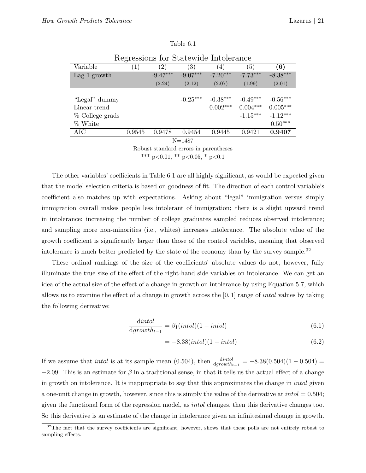| Regressions for Statewide Intolerance |                  |                   |                   |            |                  |            |  |  |  |
|---------------------------------------|------------------|-------------------|-------------------|------------|------------------|------------|--|--|--|
| Variable                              | $\left(1\right)$ | $\left( 2\right)$ | $\left( 3\right)$ | 4)         | $\left(5\right)$ | (6)        |  |  |  |
| Lag 1 growth                          |                  | $-9.47***$        | $-9.07***$        | $-7.20***$ | $-7.73***$       | $-8.38***$ |  |  |  |
|                                       |                  | (2.24)            | (2.12)            | (2.07)     | (1.99)           | (2.01)     |  |  |  |
|                                       |                  |                   |                   |            |                  |            |  |  |  |
| "Legal" dummy                         |                  |                   | $-0.25***$        | $-0.38***$ | $-0.49***$       | $-0.56***$ |  |  |  |
| Linear trend                          |                  |                   |                   | $0.002***$ | $0.004***$       | $0.005***$ |  |  |  |
| % College grads                       |                  |                   |                   |            | $-1.15***$       | $-1.12***$ |  |  |  |
| % White                               |                  |                   |                   |            |                  | $0.50***$  |  |  |  |
| AIC                                   | 0.9545           | 0.9478            | 0.9454            | 0.9445     | 0.9421           | 0.9407     |  |  |  |
| $N = 1487$                            |                  |                   |                   |            |                  |            |  |  |  |

| Table 6.1 |  |
|-----------|--|
|-----------|--|

Robust standard errors in parentheses \*\*\* p<0.01, \*\* p<0.05, \* p<0.1

The other variables' coefficients in Table 6.1 are all highly significant, as would be expected given that the model selection criteria is based on goodness of fit. The direction of each control variable's coefficient also matches up with expectations. Asking about "legal" immigration versus simply immigration overall makes people less intolerant of immigration; there is a slight upward trend in intolerance; increasing the number of college graduates sampled reduces observed intolerance; and sampling more non-minorities (i.e., whites) increases intolerance. The absolute value of the growth coefficient is significantly larger than those of the control variables, meaning that observed intolerance is much better predicted by the state of the economy than by the survey sample.<sup>32</sup>

These ordinal rankings of the size of the coefficients' absolute values do not, however, fully illuminate the true size of the effect of the right-hand side variables on intolerance. We can get an idea of the actual size of the effect of a change in growth on intolerance by using Equation 5.7, which allows us to examine the effect of a change in growth across the  $[0, 1]$  range of *intol* values by taking the following derivative:

$$
\frac{\text{dintol}}{\text{d}growth}_{t-1} = \beta_1(\text{intol})(1 - \text{intol})\tag{6.1}
$$

$$
= -8.38(intol)(1-intol)
$$
\n(6.2)

If we assume that *intol* is at its sample mean  $(0.504)$ , then  $\frac{dintol}{dgrowth_{t-1}} = -8.38(0.504)(1 - 0.504)$  $-2.09$ . This is an estimate for  $\beta$  in a traditional sense, in that it tells us the actual effect of a change in growth on intolerance. It is inappropriate to say that this approximates the change in intol given a one-unit change in growth, however, since this is simply the value of the derivative at  $intol = 0.504$ ; given the functional form of the regression model, as intol changes, then this derivative changes too. So this derivative is an estimate of the change in intolerance given an infinitesimal change in growth.

 $32$ The fact that the survey coefficients are significant, however, shows that these polls are not entirely robust to sampling effects.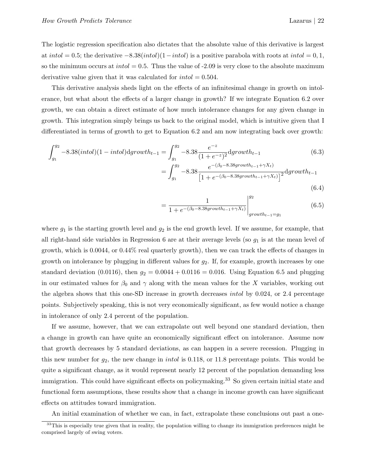The logistic regression specification also dictates that the absolute value of this derivative is largest at intol = 0.5; the derivative  $-8.38(intol)(1-intol)$  is a positive parabola with roots at intol = 0, 1, so the minimum occurs at  $intol = 0.5$ . Thus the value of -2.09 is very close to the absolute maximum derivative value given that it was calculated for  $intol = 0.504$ .

This derivative analysis sheds light on the effects of an infinitesimal change in growth on intolerance, but what about the effects of a larger change in growth? If we integrate Equation 6.2 over growth, we can obtain a direct estimate of how much intolerance changes for any given change in growth. This integration simply brings us back to the original model, which is intuitive given that I differentiated in terms of growth to get to Equation 6.2 and am now integrating back over growth:

$$
\int_{g_1}^{g_2} -8.38(intol)(1-intol) \, \mathrm{d}g\, \mathrm{r} \, \mathrm{outh}_{t-1} = \int_{g_1}^{g_2} -8.38 \frac{e^{-z}}{(1+e^{-z})^2} \, \mathrm{d}g\, \mathrm{r} \, \mathrm{outh}_{t-1} \tag{6.3}
$$
\n
$$
= \int_{g_1}^{g_2} -8.38 \frac{e^{-(\beta_0 - 8.38 \, \mathrm{g}\, \mathrm{r} \, \mathrm{outh}_{t-1} + \gamma X_t)}}{\left[1 + e^{-(\beta_0 - 8.38 \, \mathrm{g}\, \mathrm{r} \, \mathrm{outh}_{t-1} + \gamma X_t)}\right]^2} \, \mathrm{d}g\, \mathrm{r} \, \mathrm{outh}_{t-1}
$$

$$
(6.4)
$$

$$
= \frac{1}{1 + e^{-(\beta_0 - 8.38 \text{growth}_{t-1} + \gamma X_t)}} \Big|_{growth_{t-1} = g_1}^{g_2}
$$
(6.5)

where  $g_1$  is the starting growth level and  $g_2$  is the end growth level. If we assume, for example, that all right-hand side variables in Regression 6 are at their average levels (so  $g_1$  is at the mean level of growth, which is 0.0044, or 0.44% real quarterly growth), then we can track the effects of changes in growth on intolerance by plugging in different values for  $g_2$ . If, for example, growth increases by one standard deviation (0.0116), then  $g_2 = 0.0044 + 0.0116 = 0.016$ . Using Equation 6.5 and plugging in our estimated values for  $\beta_0$  and  $\gamma$  along with the mean values for the X variables, working out the algebra shows that this one-SD increase in growth decreases intol by 0.024, or 2.4 percentage points. Subjectively speaking, this is not very economically significant, as few would notice a change in intolerance of only 2.4 percent of the population.

If we assume, however, that we can extrapolate out well beyond one standard deviation, then a change in growth can have quite an economically significant effect on intolerance. Assume now that growth decreases by 5 standard deviations, as can happen in a severe recession. Plugging in this new number for  $g_2$ , the new change in *intol* is 0.118, or 11.8 percentage points. This would be quite a significant change, as it would represent nearly 12 percent of the population demanding less immigration. This could have significant effects on policymaking.<sup>33</sup> So given certain initial state and functional form assumptions, these results show that a change in income growth can have significant effects on attitudes toward immigration.

An initial examination of whether we can, in fact, extrapolate these conclusions out past a one-

<sup>&</sup>lt;sup>33</sup>This is especially true given that in reality, the population willing to change its immigration preferences might be comprised largely of swing voters.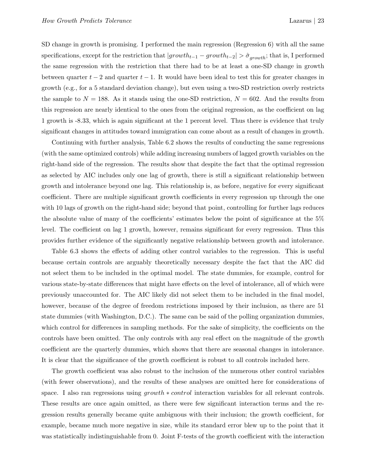SD change in growth is promising. I performed the main regression (Regression 6) with all the same specifications, except for the restriction that  $|growth_{t-1} - growth_{t-2}| > \hat{\sigma}_{growth}$ ; that is, I performed the same regression with the restriction that there had to be at least a one-SD change in growth between quarter  $t - 2$  and quarter  $t - 1$ . It would have been ideal to test this for greater changes in growth (e.g., for a 5 standard deviation change), but even using a two-SD restriction overly restricts the sample to  $N = 188$ . As it stands using the one-SD restriction,  $N = 602$ . And the results from this regression are nearly identical to the ones from the original regression, as the coefficient on lag 1 growth is -8.33, which is again significant at the 1 percent level. Thus there is evidence that truly significant changes in attitudes toward immigration can come about as a result of changes in growth.

Continuing with further analysis, Table 6.2 shows the results of conducting the same regressions (with the same optimized controls) while adding increasing numbers of lagged growth variables on the right-hand side of the regression. The results show that despite the fact that the optimal regression as selected by AIC includes only one lag of growth, there is still a significant relationship between growth and intolerance beyond one lag. This relationship is, as before, negative for every significant coefficient. There are multiple significant growth coefficients in every regression up through the one with 10 lags of growth on the right-hand side; beyond that point, controlling for further lags reduces the absolute value of many of the coefficients' estimates below the point of significance at the 5% level. The coefficient on lag 1 growth, however, remains significant for every regression. Thus this provides further evidence of the significantly negative relationship between growth and intolerance.

Table 6.3 shows the effects of adding other control variables to the regression. This is useful because certain controls are arguably theoretically necessary despite the fact that the AIC did not select them to be included in the optimal model. The state dummies, for example, control for various state-by-state differences that might have effects on the level of intolerance, all of which were previously unaccounted for. The AIC likely did not select them to be included in the final model, however, because of the degree of freedom restrictions imposed by their inclusion, as there are 51 state dummies (with Washington, D.C.). The same can be said of the polling organization dummies, which control for differences in sampling methods. For the sake of simplicity, the coefficients on the controls have been omitted. The only controls with any real effect on the magnitude of the growth coefficient are the quarterly dummies, which shows that there are seasonal changes in intolerance. It is clear that the significance of the growth coefficient is robust to all controls included here.

The growth coefficient was also robust to the inclusion of the numerous other control variables (with fewer observations), and the results of these analyses are omitted here for considerations of space. I also ran regressions using growth  $*$  control interaction variables for all relevant controls. These results are once again omitted, as there were few significant interaction terms and the regression results generally became quite ambiguous with their inclusion; the growth coefficient, for example, became much more negative in size, while its standard error blew up to the point that it was statistically indistinguishable from 0. Joint F-tests of the growth coefficient with the interaction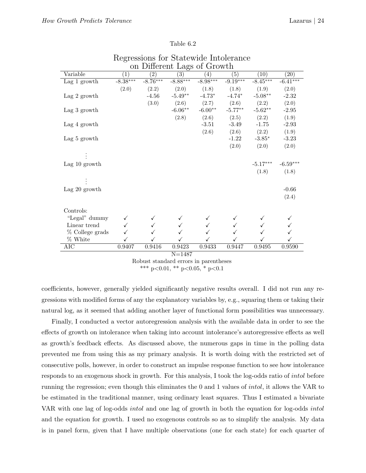| on Different Lags of Growth |            |                   |            |                   |                   |            |            |  |  |
|-----------------------------|------------|-------------------|------------|-------------------|-------------------|------------|------------|--|--|
| Variable                    | (1)        | $\left( 2\right)$ | (3)        | $\left( 4\right)$ | $\left( 5\right)$ | (10)       | (20)       |  |  |
| Lag $1$ growth              | $-8.38***$ | $-8.76***$        | $-8.88***$ | $-8.98***$        | $-9.19***$        | $-8.45***$ | $-6.41***$ |  |  |
|                             | (2.0)      | (2.2)             | (2.0)      | (1.8)             | (1.8)             | (1.9)      | (2.0)      |  |  |
| Lag 2 growth                |            | $-4.56$           | $-5.49**$  | $-4.73*$          | $-4.74*$          | $-5.08**$  | $-2.32$    |  |  |
|                             |            | (3.0)             | (2.6)      | (2.7)             | (2.6)             | (2.2)      | (2.0)      |  |  |
| Lag 3 growth                |            |                   | $-6.06**$  | $-6.00**$         | $-5.77**$         | $-5.62**$  | $-2.95$    |  |  |
|                             |            |                   | (2.8)      | (2.6)             | (2.5)             | (2.2)      | (1.9)      |  |  |
| Lag 4 growth                |            |                   |            | $-3.51$           | $-3.49$           | $-1.75$    | $-2.93$    |  |  |
|                             |            |                   |            | (2.6)             | (2.6)             | (2.2)      | (1.9)      |  |  |
| Lag 5 growth                |            |                   |            |                   | $-1.22$           | $-3.85*$   | $-3.23$    |  |  |
|                             |            |                   |            |                   | (2.0)             | (2.0)      | (2.0)      |  |  |
|                             |            |                   |            |                   |                   |            |            |  |  |
| Lag $10$ growth             |            |                   |            |                   |                   | $-5.17***$ | $-6.59***$ |  |  |
|                             |            |                   |            |                   |                   | (1.8)      | (1.8)      |  |  |
|                             |            |                   |            |                   |                   |            |            |  |  |
|                             |            |                   |            |                   |                   |            |            |  |  |
| Lag 20 growth               |            |                   |            |                   |                   |            | $-0.66$    |  |  |
|                             |            |                   |            |                   |                   |            | (2.4)      |  |  |
|                             |            |                   |            |                   |                   |            |            |  |  |
| Controls:                   |            |                   |            |                   |                   |            |            |  |  |
| "Legal" dummy               |            |                   |            |                   |                   |            |            |  |  |
| Linear trend                |            |                   |            |                   |                   |            |            |  |  |
| % College grads             |            |                   |            |                   |                   |            |            |  |  |
| % White                     |            |                   |            |                   |                   |            |            |  |  |
| $\overline{\text{AIC}}$     | 0.9407     | 0.9416            | 0.9423     | 0.9433            | 0.9447            | 0.9495     | 0.9590     |  |  |
|                             |            |                   | $N = 1487$ |                   |                   |            |            |  |  |

| Regressions for Statewide Intolerance |  |  |  |
|---------------------------------------|--|--|--|
| on Different Lags of Growth           |  |  |  |

Robust standard errors in parentheses \*\*\* p<0.01, \*\* p<0.05, \* p<0.1

coefficients, however, generally yielded significantly negative results overall. I did not run any regressions with modified forms of any the explanatory variables by, e.g., squaring them or taking their natural log, as it seemed that adding another layer of functional form possibilities was unnecessary.

Finally, I conducted a vector autoregression analysis with the available data in order to see the effects of growth on intolerance when taking into account intolerance's autoregressive effects as well as growth's feedback effects. As discussed above, the numerous gaps in time in the polling data prevented me from using this as my primary analysis. It is worth doing with the restricted set of consecutive polls, however, in order to construct an impulse response function to see how intolerance responds to an exogenous shock in growth. For this analysis, I took the log-odds ratio of intol before running the regression; even though this eliminates the 0 and 1 values of intol, it allows the VAR to be estimated in the traditional manner, using ordinary least squares. Thus I estimated a bivariate VAR with one lag of log-odds intol and one lag of growth in both the equation for log-odds intol and the equation for growth. I used no exogenous controls so as to simplify the analysis. My data is in panel form, given that I have multiple observations (one for each state) for each quarter of

#### Table 6.2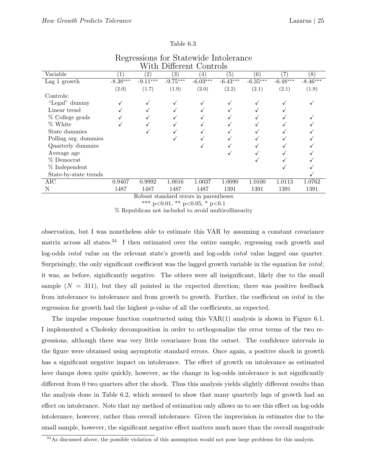| Different Controls<br>With |                       |                      |                                      |                  |                   |            |            |            |
|----------------------------|-----------------------|----------------------|--------------------------------------|------------------|-------------------|------------|------------|------------|
| Variable                   | $\left  \right $      | $\left( 2\right)$    | $\left( 3\right)$                    | $\left(4\right)$ | (5)               | (6)        | 7          | (8)        |
| Lag $1$ growth             | $-8.\overline{38***}$ | $-9.11***$           | $-9.75***$                           | $-6.03***$       | $-6.43***$        | $-6.35***$ | $-6.48***$ | $-8.46***$ |
|                            | (2.0)                 | (1.7)                | (1.9)                                | (2.0)            | (2.2)             | (2.1)      | (2.1)      | (1.9)      |
| Controls:                  |                       |                      |                                      |                  |                   |            |            |            |
| "Legal" dummy              | ✓                     |                      |                                      | ✓                |                   |            |            |            |
| Linear trend               |                       |                      |                                      | ✓                |                   |            |            |            |
| $\%$ College grads         |                       |                      |                                      |                  |                   |            |            |            |
| % White                    | √                     |                      |                                      | ✓                |                   |            |            |            |
| State dummies              |                       |                      |                                      |                  |                   |            |            |            |
| Polling org. dummies       |                       |                      |                                      |                  |                   |            |            |            |
| Quarterly dummies          |                       |                      |                                      | ✓                |                   |            |            |            |
| Average age                |                       |                      |                                      |                  |                   |            |            |            |
| % Democrat                 |                       |                      |                                      |                  |                   |            |            |            |
| $%$ Independent            |                       |                      |                                      |                  |                   |            |            |            |
| State-by-state trends      |                       |                      |                                      |                  |                   |            |            |            |
| <b>AIC</b>                 | 0.9407                | 0.9992               | 1.0016                               | 1.0037           | 1.0090            | 1.0100     | 1.0113     | 1.0762     |
| N                          | 1487                  | 1487<br>$\mathbf{r}$ | 1487<br>$\mathbf{I}$<br>$\mathbf{I}$ | 1487             | 1391<br>$\cdot$ 1 | 1391       | 1391       | 1391       |

# Regressions for Statewide Intolerance

Table 6.3

Robust standard errors in parentheses \*\*\* p<0.01, \*\* p<0.05, \* p<0.1

% Republican not included to avoid multicollinearity

observation, but I was nonetheless able to estimate this VAR by assuming a constant covariance matrix across all states.<sup>34</sup> I then estimated over the entire sample, regressing each growth and log-odds intol value on the relevant state's growth and log-odds intol value lagged one quarter. Surprisingly, the only significant coefficient was the lagged growth variable in the equation for intol; it was, as before, significantly negative. The others were all insignificant, likely due to the small sample  $(N = 311)$ , but they all pointed in the expected direction; there was positive feedback from intolerance to intolerance and from growth to growth. Further, the coefficient on intol in the regression for growth had the highest p-value of all the coefficients, as expected.

The impulse response function constructed using this VAR(1) analysis is shown in Figure 6.1. I implemented a Cholesky decomposition in order to orthogonalize the error terms of the two regressions, although there was very little covariance from the outset. The confidence intervals in the figure were obtained using asymptotic standard errors. Once again, a positive shock in growth has a significant negative impact on intolerance. The effect of growth on intolerance as estimated here damps down quite quickly, however, as the change in log-odds intolerance is not significantly different from 0 two quarters after the shock. Thus this analysis yields slightly different results than the analysis done in Table 6.2, which seemed to show that many quarterly lags of growth had an effect on intolerance. Note that my method of estimation only allows us to see this effect on log-odds intolerance, however, rather than overall intolerance. Given the imprecision in estimates due to the small sample, however, the significant negative effect matters much more than the overall magnitude

<sup>&</sup>lt;sup>34</sup>As discussed above, the possible violation of this assumption would not pose large problems for this analysis.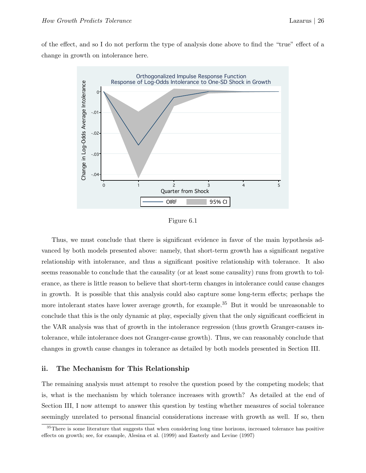of the effect, and so I do not perform the type of analysis done above to find the "true" effect of a change in growth on intolerance here.



Figure 6.1

Thus, we must conclude that there is significant evidence in favor of the main hypothesis advanced by both models presented above: namely, that short-term growth has a significant negative relationship with intolerance, and thus a significant positive relationship with tolerance. It also seems reasonable to conclude that the causality (or at least some causality) runs from growth to tolerance, as there is little reason to believe that short-term changes in intolerance could cause changes in growth. It is possible that this analysis could also capture some long-term effects; perhaps the more intolerant states have lower average growth, for example.<sup>35</sup> But it would be unreasonable to conclude that this is the only dynamic at play, especially given that the only significant coefficient in the VAR analysis was that of growth in the intolerance regression (thus growth Granger-causes intolerance, while intolerance does not Granger-cause growth). Thus, we can reasonably conclude that changes in growth cause changes in tolerance as detailed by both models presented in Section III.

#### ii. The Mechanism for This Relationship

The remaining analysis must attempt to resolve the question posed by the competing models; that is, what is the mechanism by which tolerance increases with growth? As detailed at the end of Section III, I now attempt to answer this question by testing whether measures of social tolerance seemingly unrelated to personal financial considerations increase with growth as well. If so, then

<sup>&</sup>lt;sup>35</sup>There is some literature that suggests that when considering long time horizons, increased tolerance has positive effects on growth; see, for example, Alesina et al. (1999) and Easterly and Levine (1997)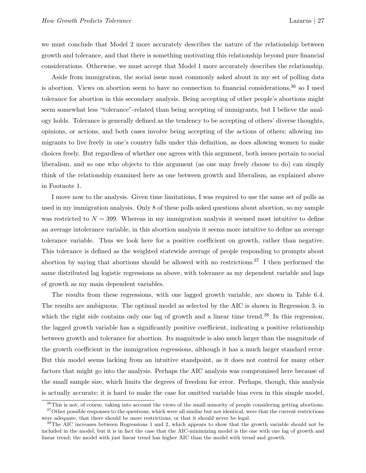we must conclude that Model 2 more accurately describes the nature of the relationship between growth and tolerance, and that there is something motivating this relationship beyond pure financial considerations. Otherwise, we must accept that Model 1 more accurately describes the relationship.

Aside from immigration, the social issue most commonly asked about in my set of polling data is abortion. Views on abortion seem to have no connection to financial considerations,<sup>36</sup> so I used tolerance for abortion in this secondary analysis. Being accepting of other people's abortions might seem somewhat less "tolerance"-related than being accepting of immigrants, but I believe the analogy holds. Tolerance is generally defined as the tendency to be accepting of others' diverse thoughts, opinions, or actions, and both cases involve being accepting of the actions of others; allowing immigrants to live freely in one's country falls under this definition, as does allowing women to make choices freely. But regardless of whether one agrees with this argument, both issues pertain to social liberalism, and so one who objects to this argument (as one may freely choose to do) can simply think of the relationship examined here as one between growth and liberalism, as explained above in Footnote 1.

I move now to the analysis. Given time limitations, I was required to use the same set of polls as used in my immigration analysis. Only 8 of these polls asked questions about abortion, so my sample was restricted to  $N = 399$ . Whereas in my immigration analysis it seemed most intuitive to define an average intolerance variable, in this abortion analysis it seems more intuitive to define an average tolerance variable. Thus we look here for a positive coefficient on growth, rather than negative. This tolerance is defined as the weighted statewide average of people responding to prompts about abortion by saying that abortions should be allowed with no restrictions.<sup>37</sup> I then performed the same distributed lag logistic regressions as above, with tolerance as my dependent variable and lags of growth as my main dependent variables.

The results from these regressions, with one lagged growth variable, are shown in Table 6.4. The results are ambiguous. The optimal model as selected by the AIC is shown in Regression 3, in which the right side contains only one lag of growth and a linear time trend.<sup>38</sup> In this regression, the lagged growth variable has a significantly positive coefficient, indicating a positive relationship between growth and tolerance for abortion. Its magnitude is also much larger than the magnitude of the growth coefficient in the immigration regressions, although it has a much larger standard error. But this model seems lacking from an intuitive standpoint, as it does not control for many other factors that might go into the analysis. Perhaps the AIC analysis was compromised here because of the small sample size, which limits the degrees of freedom for error. Perhaps, though, this analysis is actually accurate; it is hard to make the case for omitted variable bias even in this simple model,

<sup>&</sup>lt;sup>36</sup>This is not, of course, taking into account the views of the small minority of people considering getting abortions.  $37$ Other possible responses to the questions, which were all similar but not identical, were that the current restrictions were adequate, that there should be more restrictions, or that it should never be legal.

<sup>&</sup>lt;sup>38</sup>The AIC increases between Regressions 1 and 2, which appears to show that the growth variable should not be included in the model, but it is in fact the case that the AIC-minimizing model is the one with one lag of growth and linear trend; the model with just linear trend has higher AIC than the model with trend and growth.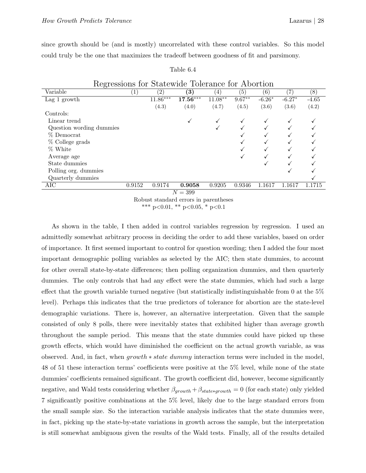since growth should be (and is mostly) uncorrelated with these control variables. So this model could truly be the one that maximizes the tradeoff between goodness of fit and parsimony.

| Regressions for Statewide Tolerance for Abortion |        |                   |                   |             |           |          |          |         |  |
|--------------------------------------------------|--------|-------------------|-------------------|-------------|-----------|----------|----------|---------|--|
| Variable                                         |        | $\left( 2\right)$ | $\left( 3\right)$ | $ 4\rangle$ | (5)       | (6)      | 7        | (8)     |  |
| Lag 1 growth                                     |        | $11.86***$        | $17.56***$        | $11.08***$  | $9.67***$ | $-6.26*$ | $-6.27*$ | $-4.65$ |  |
|                                                  |        | (4.3)             | (4.0)             | (4.7)       | (4.5)     | (3.6)    | (3.6)    | (4.2)   |  |
| Controls:                                        |        |                   |                   |             |           |          |          |         |  |
| Linear trend                                     |        |                   |                   |             |           |          |          |         |  |
| Question wording dummies                         |        |                   |                   |             |           |          |          |         |  |
| % Democrat                                       |        |                   |                   |             |           |          |          |         |  |
| % College grads                                  |        |                   |                   |             |           |          |          |         |  |
| % White                                          |        |                   |                   |             |           |          |          |         |  |
| Average age                                      |        |                   |                   |             |           |          |          |         |  |
| State dummies                                    |        |                   |                   |             |           |          |          |         |  |
| Polling org. dummies                             |        |                   |                   |             |           |          |          |         |  |
| Quarterly dummies                                |        |                   |                   |             |           |          |          |         |  |
| AIC                                              | 0.9152 | 0.9174            | 0.9058            | 0.9205      | 0.9346    | 1.1617   | 1.1617   | 1.1715  |  |
| $N = 399$                                        |        |                   |                   |             |           |          |          |         |  |

#### Table 6.4

Robust standard errors in parentheses

\*\*\* p<0.01, \*\* p<0.05, \* p<0.1

As shown in the table, I then added in control variables regression by regression. I used an admittedly somewhat arbitrary process in deciding the order to add these variables, based on order of importance. It first seemed important to control for question wording; then I added the four most important demographic polling variables as selected by the AIC; then state dummies, to account for other overall state-by-state differences; then polling organization dummies, and then quarterly dummies. The only controls that had any effect were the state dummies, which had such a large effect that the growth variable turned negative (but statistically indistinguishable from 0 at the 5% level). Perhaps this indicates that the true predictors of tolerance for abortion are the state-level demographic variations. There is, however, an alternative interpretation. Given that the sample consisted of only 8 polls, there were inevitably states that exhibited higher than average growth throughout the sample period. This means that the state dummies could have picked up these growth effects, which would have diminished the coefficient on the actual growth variable, as was observed. And, in fact, when  $growth * state dummy$  interaction terms were included in the model, 48 of 51 these interaction terms' coefficients were positive at the 5% level, while none of the state dummies' coefficients remained significant. The growth coefficient did, however, become significantly negative, and Wald tests considering whether  $\beta_{growth} + \beta_{state*growth} = 0$  (for each state) only yielded 7 significantly positive combinations at the 5% level, likely due to the large standard errors from the small sample size. So the interaction variable analysis indicates that the state dummies were, in fact, picking up the state-by-state variations in growth across the sample, but the interpretation is still somewhat ambiguous given the results of the Wald tests. Finally, all of the results detailed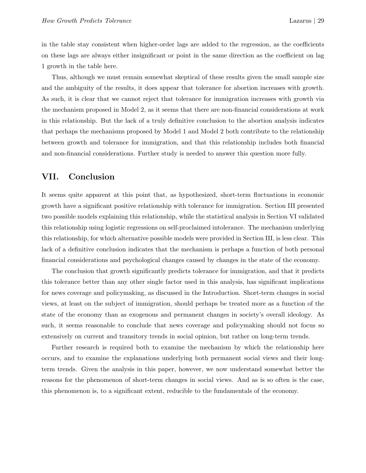in the table stay consistent when higher-order lags are added to the regression, as the coefficients on these lags are always either insignificant or point in the same direction as the coefficient on lag 1 growth in the table here.

Thus, although we must remain somewhat skeptical of these results given the small sample size and the ambiguity of the results, it does appear that tolerance for abortion increases with growth. As such, it is clear that we cannot reject that tolerance for immigration increases with growth via the mechanism proposed in Model 2, as it seems that there are non-financial considerations at work in this relationship. But the lack of a truly definitive conclusion to the abortion analysis indicates that perhaps the mechanisms proposed by Model 1 and Model 2 both contribute to the relationship between growth and tolerance for immigration, and that this relationship includes both financial and non-financial considerations. Further study is needed to answer this question more fully.

## VII. Conclusion

It seems quite apparent at this point that, as hypothesized, short-term fluctuations in economic growth have a significant positive relationship with tolerance for immigration. Section III presented two possible models explaining this relationship, while the statistical analysis in Section VI validated this relationship using logistic regressions on self-proclaimed intolerance. The mechanism underlying this relationship, for which alternative possible models were provided in Section III, is less clear. This lack of a definitive conclusion indicates that the mechanism is perhaps a function of both personal financial considerations and psychological changes caused by changes in the state of the economy.

The conclusion that growth significantly predicts tolerance for immigration, and that it predicts this tolerance better than any other single factor used in this analysis, has significant implications for news coverage and policymaking, as discussed in the Introduction. Short-term changes in social views, at least on the subject of immigration, should perhaps be treated more as a function of the state of the economy than as exogenous and permanent changes in society's overall ideology. As such, it seems reasonable to conclude that news coverage and policymaking should not focus so extensively on current and transitory trends in social opinion, but rather on long-term trends.

Further research is required both to examine the mechanism by which the relationship here occurs, and to examine the explanations underlying both permanent social views and their longterm trends. Given the analysis in this paper, however, we now understand somewhat better the reasons for the phenomenon of short-term changes in social views. And as is so often is the case, this phenomenon is, to a significant extent, reducible to the fundamentals of the economy.